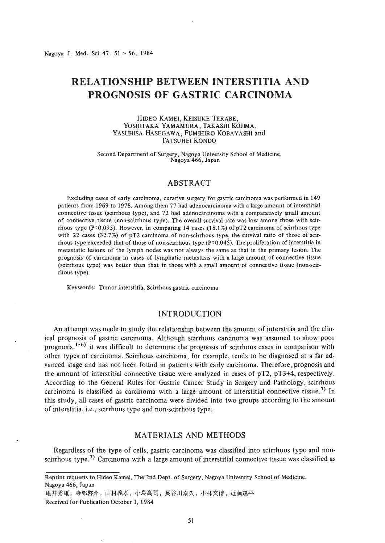# **RELATIONSHIP BETWEEN INTERSTITIA AND PROGNOSIS OF GASTRIC CARCINOMA**

#### HIDEO KAMEl, KEISUKE TERABE, YOSHITAKA YAMAMURA, TAKASHI KOJIMA, YASUHISA HASEGAWA, FuMIHIRO KOBAYASHI and TATSUHEI KONDO

Second Department of Surgery, Nagoya University School of Medicine, Nagoya 466, Japan

### ABSTRACT

Excluding cases of early carcinoma, curative surgery for gastric carcinoma was performed in 149 patients from 1969 to 1978. Among them 77 had adenocarcinoma with a large amount of interstitial connective tissue (scirrhous type), and 72 had adenocarcinoma with a comparatively small amount of connective tissue (non-scirrhous type). The overall survival rate was low among those with scirrhous type ( $P=0.095$ ). However, in comparing 14 cases (18.1%) of pT2 carcinoma of scirrhous type with 22 cases (32.7%) of pT2 carcinoma of non-scirrhous type, the survival ratio of those of scirrhous type exceeded that of those of non-scirrhous type  $(P=0.045)$ . The proliferation of interstitia in metastatic lesions of the lymph nodes was not always the same as that in the primary lesion. The prognosis of carcinoma in cases of lymphatic metastasis with a large amount of connective tissue (scirrhous type) was better than that in those with a small amount of connective tissue (non-scirrhous type).

Keywords: Tumor interstitia, Scirrhous gastric carcinoma

# INTRODUCTION

An attempt was made to study the relationship between the amount of interstitia and the clinical prognosis of gastric carcinoma. Although scirrhous carcinoma was assumed to show poor prognosis,<sup>1-6)</sup> it was difficult to determine the prognosis of scirrhous cases in comparison with other types of carcinoma. Scirrhous carcinoma, for example, tends to be diagnosed at a far advanced stage and has not been found in patients with early carcinoma. Therefore, prognosis and the amount of interstitial connective tissue were analyzed in cases of pT2, pT3+4, respectively. According to the General Rules for Gastric Cancer Study in Surgery and Pathology, scirrhous carcinoma is classified as carcinoma with a large amount of interstitial connective tissue.<sup>7)</sup> In this study, all cases of gastric carcinoma were divided into two groups according to the amount of interstitia, i.e., scirrhous type and non-scirrhous type.

# MATERIALS AND METHODS

Regardless of the type of cells, gastric carcinoma was classified into scirrhous type and nonscirrhous type.<sup>7)</sup> Carcinoma with a large amount of interstitial connective tissue was classified as

Nagoya 466, Japan

Received for Publication October 1, 1984

Reprint requests to Hideo Kamei, The 2nd Dept. of Surgery, Nagoya University School of Medicine.

亀井秀雄,寺部啓介,山村義孝,小島高司,長谷川泰久,小林文博,近藤達平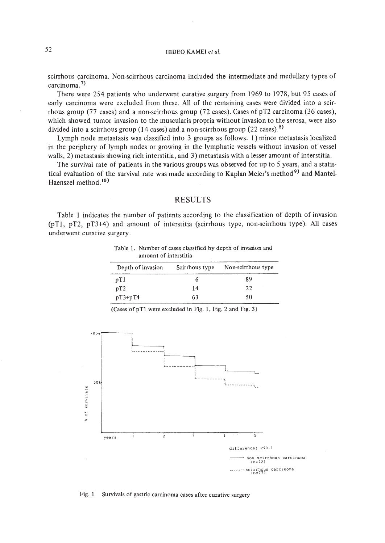# 52 HIDEO KAMEL *et al.*

scirrhous carcinoma. Non-scirrhous carcinoma included the intermediate and medullary types of carcinoma. 7)

There were 254 patients who underwent curative surgery from 1969 to 1978, but 95 cases of early carcinoma were excluded from these. All of the remaining cases were divided into a scirrhous group (77 cases) and a non-scirrhous group (72 cases). Cases of pT2 carcinoma (36 cases), which showed tumor invasion to the muscularis propria without invasion to the serosa, were also divided into a scirrhous group (14 cases) and a non-scirrhous group (22 cases).<sup>8)</sup>

Lymph node metastasis was classified into 3 groups as follows: I) minor metastasis localized in the periphery of lymph nodes or growing in the lymphatic vessels without invasion of vessel walls, 2) metastasis showing rich interstitia, and 3) metastasis with a lesser amount of interstitia.

The survival rate of patients in the various groups was observed for up to 5 years, and a statistical evaluation of the survival rate was made according to Kaplan Meier's method<sup>9)</sup> and Mantel-Haenszel method.<sup>10)</sup>

### RESULTS

Table I indicates the number of patients according to the classification of depth of invasion (pTl, pT2, pT3+4) and amount of interstitia (scirrhous type, non-scirrhous type). All cases underwent curative surgery.

| Table 1. Number of cases classified by depth of invasion and |
|--------------------------------------------------------------|
| amount of interstitia                                        |

| Depth of invasion | Scirrhous type | Non-scirrhous type |
|-------------------|----------------|--------------------|
| pT1               |                | 89                 |
| $\mathbf{p}$ T2   | 14             | 22                 |
| $pT3+pT4$         | 63             | 50                 |

 $:00*$  $\mathbb{R}^n$ !----------\_.--~'----, : <sup>I</sup> L----------l~--------,L\_\_ ~l\_ i , l .., 5o,  $\frac{1}{1}$ t\_ of survivals  $\overline{2}$  $\frac{1}{3}$  $\frac{1}{4}$ Έ years difference; PK0.1<br>------ non-scirrhous carcinoma<br>(n=72) difference; P<O.' \_\_\_\_\_\_\_ scirrhous carcinoma<br>(n=77)

(Cases of  $pT1$  were excluded in Fig. 1, Fig. 2 and Fig. 3)

Fig. 1 Survivals of gastric carcinoma cases after curative surgery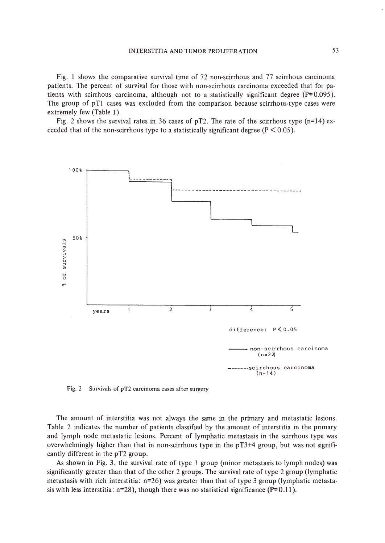Fig. I shows the comparative survival time of 72 non-scirrhous and 77 scirrhous carcinoma patients. The percent of survival for those with non-scirrhous carcinoma exceeded that for patients with scirrhous carcinoma, although not to a statistically significant degree ( $P=0.095$ ). The group of pTl cases was excluded from the comparison because scirrhous-type cases were extremely few (Table I).

Fig. 2 shows the survival rates in 36 cases of pT2. The rate of the scirrhous type  $(n=14)$  exceeded that of the non-scirrhous type to a statistically significant degree ( $P \le 0.05$ ).



Fig. 2 Survivals of pT2 carcinoma cases after surgery

The amount of interstitia was not always the same in the primary and metastatic lesions. Table 2 indicates the number of patients classified by the amount of interstitia in the primary and lymph node metastatic lesions. Percent of lymphatic metastasis in the scirrhous type was overwhelmingly higher than that in non-scirrhous type in the pT3+4 group, but was not signifi· cantly different in the pT2 group.

As shown in Fig. 3, the survival rate of type I group (minor metastasis to lymph nodes) was significantly greater than that of the other 2 groups. The survival rate of type 2 group (lymphatic metastasis with rich interstitia: n=26) was greater than that of type 3 group (lymphatic metastasis with less interstitia:  $n=28$ ), though there was no statistical significance (P $\neq$ 0.11).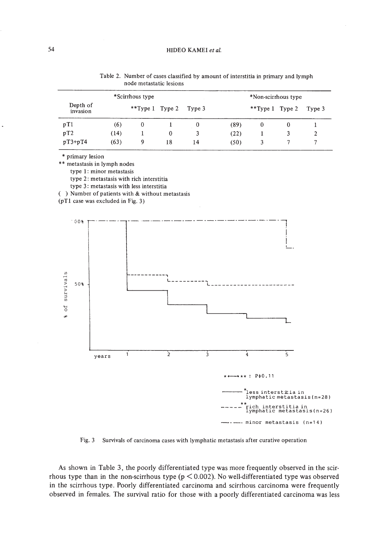| *Scirrhous type      |      |                        |    | *Non-scirrhous type |      |                     |   |        |
|----------------------|------|------------------------|----|---------------------|------|---------------------|---|--------|
| Depth of<br>invasion |      | **Type 1 Type 2 Type 3 |    |                     |      | **Type $1$ Type $2$ |   | Type 3 |
| pT1                  | (6)  | $\bf{0}$               |    |                     | (89) | 0                   | 0 |        |
| pT2                  | (14) |                        | 0  | 3.                  | (22) |                     |   | 2      |
| $pT3+pT4$            | (63) | 9                      | 18 | 14                  | (50) | 3                   |   |        |

Table 2. Number of cases classified by amount of interstitia in primary and lymph node metastatic lesions

\* primary lesion

\*\* metastasis in lymph nodes

type 1: minor metastasis

type 2: metastasis with rich interstitia

type 3: metastasis with less interstitia

( ) Number of patients with & without metastasis

(pT1 case was excluded in Fig. 3)



Fig. 3 Survivals of carcinoma cases with lymphatic metastasis after curative operation

As shown in Table 3, the poorly differentiated type was more frequently observed in the scirrhous type than in the non-scirrhous type ( $p < 0.002$ ). No well-differentiated type was observed in the scirrhous type. Poorly differentiated carcinoma and scirrhous carcinoma were frequently observed in females. The survival ratio for those with a poorly differentiated carcinoma was less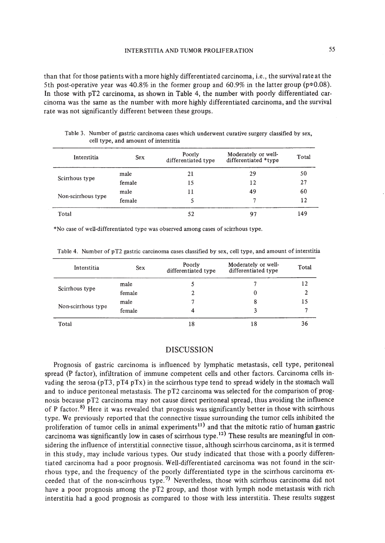than that for those patients with a more highly differentiated carcinoma, Le., the survival rate at the 5th post-operative year was 40.8% in the former group and 60.9% in the latter group ( $p=0.08$ ). **In** those with pT2 carcinoma, as shown in Table 4, the number with poorly differentiated carcinoma was the same as the number with more highly differentiated carcinoma, and the survival rate was not significantly different between these groups.

| Interstitia        | <b>Sex</b> | Poorly<br>differentiated type | Moderately or well-<br>differentiated *type | Total |
|--------------------|------------|-------------------------------|---------------------------------------------|-------|
| Scirrhous type     | male       | 21                            | 29                                          | 50    |
|                    | female     | 15                            | 12                                          | 27    |
|                    | male       | 11                            | 49                                          | 60    |
| Non-scirrhous type | female     |                               |                                             | 12    |
| Total              |            | 52                            | 97                                          | 149   |

Table 3. Number of gastric carcinoma cases which underwent curative surgery classified by sex, cell type, and amount of interstitia

\*No case of well-differentiated type was observed among cases of scirrhous type.

| Interstitia        | <b>Sex</b> | Poorly<br>differentiated type | Moderately or well-<br>differentiated type | Total |
|--------------------|------------|-------------------------------|--------------------------------------------|-------|
| Scirrhous type     | male       |                               |                                            |       |
|                    | female     |                               |                                            |       |
|                    | male       |                               |                                            | 15    |
| Non-scirrhous type | female     |                               |                                            |       |
| Total              |            | 18                            | 18                                         | 36    |

Table 4. Number of pT2 gastric carcinoma cases classified by sex, cell type, and amount of interstitia

## DISCUSSION

Prognosis of gastric carcinoma is influenced by lymphatic metastasis, cell type, peritoneal spread (P factor), infiltration of immune competent cells and other factors. Carcinoma cells invading the serosa (pT3, pT4 pTx) in the scirrhous type tend to spread widely in the stomach wall and to induce peritoneal metastasis. The pT2 carcinoma was selected for the comparison of prognosis because pT2 carcinoma may not cause direct peritoneal spread, thus avoiding the influence of P factor.<sup>8)</sup> Here it was revealed that prognosis was significantly better in those with scirrhous type. We previously reported that the connective tissue surrounding the tumor cells inhibited the proliferation of tumor cells in animal experiments<sup>11)</sup> and that the mitotic ratio of human gastric carcinoma was significantly low in cases of scirrhous type.<sup>12)</sup> These results are meaningful in considering the influence of interstitial connective tissue, although scirrhous carcinoma, as it is termed in this study, may include various types. Our study indicated that those with a poorly differentiated carcinoma had a poor prognosis. Well-differentiated carcinoma was not found in the scirrhous type, and the frequency of the poorly differentiated type in the scirrhous carcinoma exceeded that of the non-scirrhous type.<sup>7)</sup> Nevertheless, those with scirrhous carcinoma did not have a poor prognosis among the pT2 group, and those with lymph node metastasis with rich interstitia had a good prognosis as compared to those with less interstitia. These results suggest